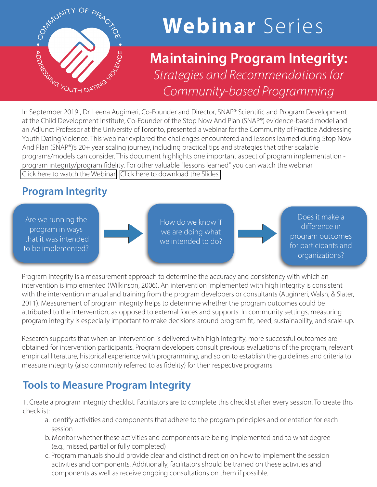

# **Webinar** Series

# **Maintaining Program Integrity:**  *Strategies and Recommendations for Community-based Programming* In September 2019, Dr. Leena Augimeri, Co-Founder and Director, SNAP® Scientific and Program Development

at the Child Development Institute, Co-Founder of the Stop Now And Plan (SNAP®) evidence-based model and an Adjunct Professor at the University of Toronto, presented a webinar for the Community of Practice Addressing Youth Dating Violence. This webinar explored the challenges encountered and lessons learned during Stop Now And Plan (SNAP®)'s 20+ year scaling journey, including practical tips and strategies that other scalable programs/models can consider. This document highlights one important aspect of program implementation program integrity/program fidelity. For other valuable "lessons learned" you can watch the webinar [Click here to watch the Webinar](https://youthdatingviolence.prevnet.ca/snap-national-expansion-in-canada-important-learnings/) | [Click here to download the Slides](https://youthdatingviolence.prevnet.ca/wp-content/uploads/2021/04/SNAP_Scaling_Webinar_Prevnet_Sept_24_2019_HDOUT_EDT.pdf)

# **Program Integrity**

Are we running the program in ways that it was intended to be implemented?

How do we know if we are doing what we intended to do?

Does it make a difference in program outcomes for participants and organizations?

Program integrity is a measurement approach to determine the accuracy and consistency with which an intervention is implemented (Wilkinson, 2006). An intervention implemented with high integrity is consistent with the intervention manual and training from the program developers or consultants (Augimeri, Walsh, & Slater, 2011). Measurement of program integrity helps to determine whether the program outcomes could be attributed to the intervention, as opposed to external forces and supports. In community settings, measuring program integrity is especially important to make decisions around program fit, need, sustainability, and scale-up.

Research supports that when an intervention is delivered with high integrity, more successful outcomes are obtained for intervention participants. Program developers consult previous evaluations of the program, relevant empirical literature, historical experience with programming, and so on to establish the guidelines and criteria to measure integrity (also commonly referred to as fidelity) for their respective programs.

# **Tools to Measure Program Integrity**

1. Create a program integrity checklist. Facilitators are to complete this checklist after every session. To create this checklist:

- a. Identify activities and components that adhere to the program principles and orientation for each session
- b. Monitor whether these activities and components are being implemented and to what degree (e.g., missed, partial or fully completed)
- c. Program manuals should provide clear and distinct direction on how to implement the session activities and components. Additionally, facilitators should be trained on these activities and components as well as receive ongoing consultations on them if possible.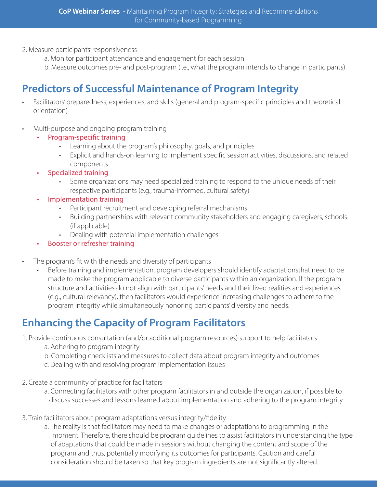- 2. Measure participants' responsiveness
	- a. Monitor participant attendance and engagement for each session
	- b. Measure outcomes pre- and post-program (i.e., what the program intends to change in participants)

## **Predictors of Successful Maintenance of Program Integrity**

- Facilitators' preparedness, experiences, and skills (general and program-specific principles and theoretical orientation)
- Multi-purpose and ongoing program training
	- Program-specific training
		- Learning about the program's philosophy, goals, and principles
		- Explicit and hands-on learning to implement specific session activities, discussions, and related components
	- Specialized training
		- Some organizations may need specialized training to respond to the unique needs of their respective participants (e.g., trauma-informed, cultural safety)
	- Implementation training
		- Participant recruitment and developing referral mechanisms
		- Building partnerships with relevant community stakeholders and engaging caregivers, schools (if applicable)
		- Dealing with potential implementation challenges
	- Booster or refresher training
- The program's fit with the needs and diversity of participants
	- Before training and implementation, program developers should identify adaptationsthat need to be made to make the program applicable to diverse participants within an organization. If the program structure and activities do not align with participants' needs and their lived realities and experiences (e.g., cultural relevancy), then facilitators would experience increasing challenges to adhere to the program integrity while simultaneously honoring participants' diversity and needs.

### **Enhancing the Capacity of Program Facilitators**

- 1. Provide continuous consultation (and/or additional program resources) support to help facilitators
	- a. Adhering to program integrity
	- b. Completing checklists and measures to collect data about program integrity and outcomes
	- c. Dealing with and resolving program implementation issues
- 2. Create a community of practice for facilitators
	- a. Connecting facilitators with other program facilitators in and outside the organization, if possible to discuss successes and lessons learned about implementation and adhering to the program integrity
- 3. Train facilitators about program adaptations versus integrity/fidelity
	- a. The reality is that facilitators may need to make changes or adaptations to programming in the moment. Therefore, there should be program guidelines to assist facilitators in understanding the type of adaptations that could be made in sessions without changing the content and scope of the program and thus, potentially modifying its outcomes for participants. Caution and careful consideration should be taken so that key program ingredients are not significantly altered.